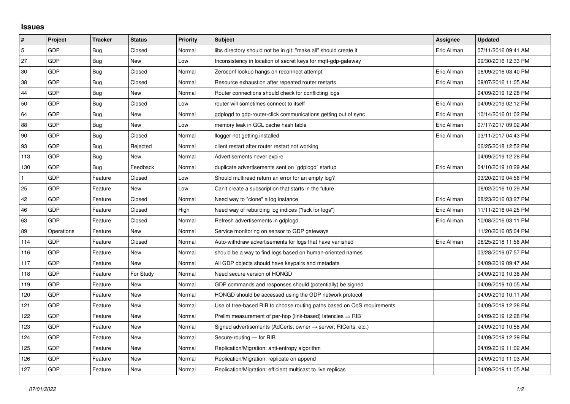## **Issues**

| $\vert$ #      | Project    | <b>Tracker</b> | <b>Status</b> | <b>Priority</b> | <b>Subject</b>                                                             | <b>Assignee</b> | <b>Updated</b>      |
|----------------|------------|----------------|---------------|-----------------|----------------------------------------------------------------------------|-----------------|---------------------|
| $\overline{5}$ | GDP        | Bug            | Closed        | Normal          | libs directory should not be in git; "make all" should create it           | Eric Allman     | 07/11/2016 09:41 AM |
| 27             | GDP        | Bug            | New           | Low             | Inconsistency in location of secret keys for mott-gdp-gateway              |                 | 09/30/2016 12:33 PM |
| 30             | GDP        | Bug            | Closed        | Normal          | Zeroconf lookup hangs on reconnect attempt                                 | Eric Allman     | 08/09/2016 03:40 PM |
| 38             | GDP        | Bug            | Closed        | Normal          | Resource exhaustion after repeated router restarts                         | Eric Allman     | 09/07/2016 11:05 AM |
| 44             | GDP        | Bug            | New           | Normal          | Router connections should check for conflicting logs                       |                 | 04/09/2019 12:28 PM |
| 50             | GDP        | Bug            | Closed        | Low             | router will sometimes connect to itself                                    | Eric Allman     | 04/09/2019 02:12 PM |
| 64             | GDP        | Bug            | New           | Normal          | gdplogd to gdp-router-click communications getting out of sync             | Eric Allman     | 10/14/2016 01:02 PM |
| 88             | GDP        | Bug            | New           | Low             | memory leak in GCL cache hash table                                        | Eric Allman     | 07/17/2017 09:02 AM |
| 90             | GDP        | Bug            | Closed        | Normal          | llogger not getting installed                                              | Eric Allman     | 03/11/2017 04:43 PM |
| 93             | GDP        | Bug            | Rejected      | Normal          | client restart after router restart not working                            |                 | 06/25/2018 12:52 PM |
| 113            | GDP        | Bug            | New           | Normal          | Advertisements never expire                                                |                 | 04/09/2019 12:28 PM |
| 130            | GDP        | Bug            | Feedback      | Normal          | duplicate advertisements sent on `gdplogd` startup                         | Eric Allman     | 04/10/2019 10:29 AM |
| $\mathbf{1}$   | GDP        | Feature        | Closed        | Low             | Should multiread return an error for an empty log?                         |                 | 03/20/2019 04:56 PM |
| 25             | GDP        | Feature        | New           | Low             | Can't create a subscription that starts in the future                      |                 | 08/02/2016 10:29 AM |
| 42             | GDP        | Feature        | Closed        | Normal          | Need way to "clone" a log instance                                         | Eric Allman     | 08/23/2016 03:27 PM |
| 46             | GDP        | Feature        | Closed        | High            | Need way of rebuilding log indices ("fsck for logs")                       | Eric Allman     | 11/11/2016 04:25 PM |
| 63             | GDP        | Feature        | Closed        | Normal          | Refresh advertisements in gdplogd                                          | Eric Allman     | 10/08/2016 03:11 PM |
| 89             | Operations | Feature        | New           | Normal          | Service monitoring on sensor to GDP gateways                               |                 | 11/20/2016 05:04 PM |
| 114            | GDP        | Feature        | Closed        | Normal          | Auto-withdraw advertisements for logs that have vanished                   | Eric Allman     | 06/25/2018 11:56 AM |
| 116            | GDP        | Feature        | New           | Normal          | should be a way to find logs based on human-oriented names                 |                 | 03/28/2019 07:57 PM |
| 117            | GDP        | Feature        | New           | Normal          | All GDP objects should have keypairs and metadata                          |                 | 04/09/2019 09:47 AM |
| 118            | GDP        | Feature        | For Study     | Normal          | Need secure version of HONGD                                               |                 | 04/09/2019 10:38 AM |
| 119            | GDP        | Feature        | New           | Normal          | GDP commands and responses should (potentially) be signed                  |                 | 04/09/2019 10:05 AM |
| 120            | GDP        | Feature        | New           | Normal          | HONGD should be accessed using the GDP network protocol                    |                 | 04/09/2019 10:11 AM |
| 121            | GDP        | Feature        | New           | Normal          | Use of tree-based RIB to choose routing paths based on QoS requirements    |                 | 04/09/2019 12:28 PM |
| 122            | GDP        | Feature        | New           | Normal          | Prelim measurement of per-hop (link-based) latencies $\Rightarrow$ RIB     |                 | 04/09/2019 12:28 PM |
| 123            | GDP        | Feature        | New           | Normal          | Signed advertisements (AdCerts: owner $\rightarrow$ server, RtCerts, etc.) |                 | 04/09/2019 10:58 AM |
| 124            | GDP        | Feature        | New           | Normal          | Secure-routing - for RIB                                                   |                 | 04/09/2019 12:29 PM |
| 125            | GDP        | Feature        | New           | Normal          | Replication/Migration: anti-entropy algorithm                              |                 | 04/09/2019 11:02 AM |
| 126            | GDP        | Feature        | New           | Normal          | Replication/Migration: replicate on append                                 |                 | 04/09/2019 11:03 AM |
| 127            | GDP        | Feature        | New           | Normal          | Replication/Migration: efficient multicast to live replicas                |                 | 04/09/2019 11:05 AM |